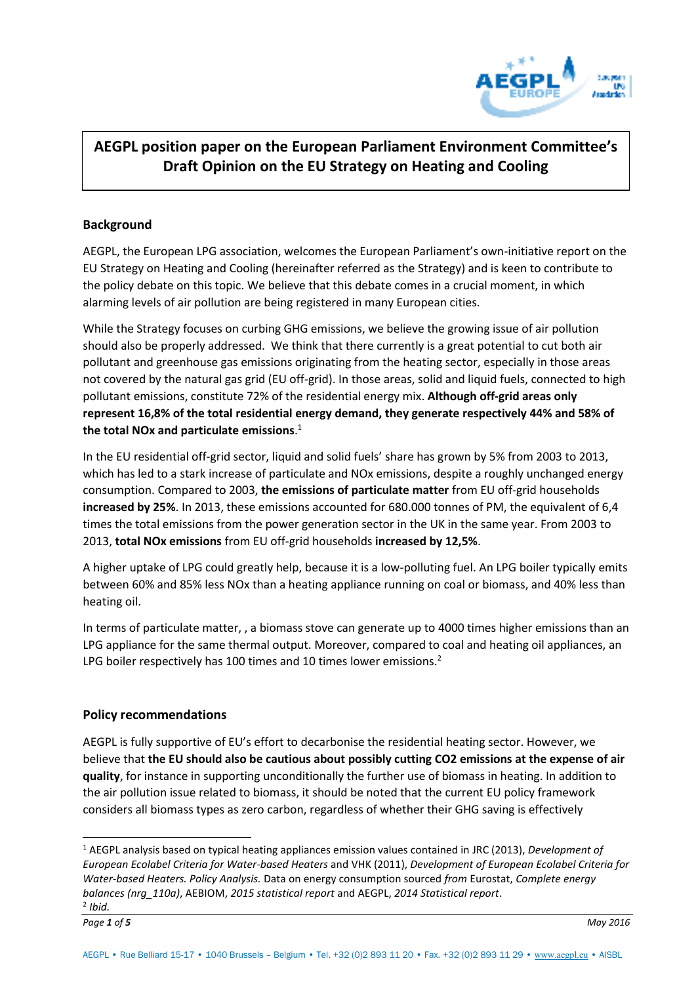

# **AEGPL position paper on the European Parliament Environment Committee's Draft Opinion on the EU Strategy on Heating and Cooling**

## **Background**

AEGPL, the European LPG association, welcomes the European Parliament's own-initiative report on the EU Strategy on Heating and Cooling (hereinafter referred as the Strategy) and is keen to contribute to the policy debate on this topic. We believe that this debate comes in a crucial moment, in which alarming levels of air pollution are being registered in many European cities.

While the Strategy focuses on curbing GHG emissions, we believe the growing issue of air pollution should also be properly addressed. We think that there currently is a great potential to cut both air pollutant and greenhouse gas emissions originating from the heating sector, especially in those areas not covered by the natural gas grid (EU off-grid). In those areas, solid and liquid fuels, connected to high pollutant emissions, constitute 72% of the residential energy mix. **Although off-grid areas only represent 16,8% of the total residential energy demand, they generate respectively 44% and 58% of the total NOx and particulate emissions**. 1

In the EU residential off-grid sector, liquid and solid fuels' share has grown by 5% from 2003 to 2013, which has led to a stark increase of particulate and NOx emissions, despite a roughly unchanged energy consumption. Compared to 2003, **the emissions of particulate matter** from EU off-grid households **increased by 25%**. In 2013, these emissions accounted for 680.000 tonnes of PM, the equivalent of 6,4 times the total emissions from the power generation sector in the UK in the same year. From 2003 to 2013, **total NOx emissions** from EU off-grid households **increased by 12,5%**.

A higher uptake of LPG could greatly help, because it is a low-polluting fuel. An LPG boiler typically emits between 60% and 85% less NOx than a heating appliance running on coal or biomass, and 40% less than heating oil.

In terms of particulate matter, , a biomass stove can generate up to 4000 times higher emissions than an LPG appliance for the same thermal output. Moreover, compared to coal and heating oil appliances, an LPG boiler respectively has 100 times and 10 times lower emissions.<sup>2</sup>

## **Policy recommendations**

AEGPL is fully supportive of EU's effort to decarbonise the residential heating sector. However, we believe that **the EU should also be cautious about possibly cutting CO2 emissions at the expense of air quality**, for instance in supporting unconditionally the further use of biomass in heating. In addition to the air pollution issue related to biomass, it should be noted that the current EU policy framework considers all biomass types as zero carbon, regardless of whether their GHG saving is effectively

 $\overline{a}$ 

<sup>1</sup> AEGPL analysis based on typical heating appliances emission values contained in JRC (2013), *Development of European Ecolabel Criteria for Water-based Heaters* and VHK (2011), *Development of European Ecolabel Criteria for Water-based Heaters. Policy Analysis.* Data on energy consumption sourced *from* Eurostat, *Complete energy balances (nrg\_110a)*, AEBIOM, *2015 statistical report* and AEGPL, *2014 Statistical report*.

<sup>2</sup> *Ibid.*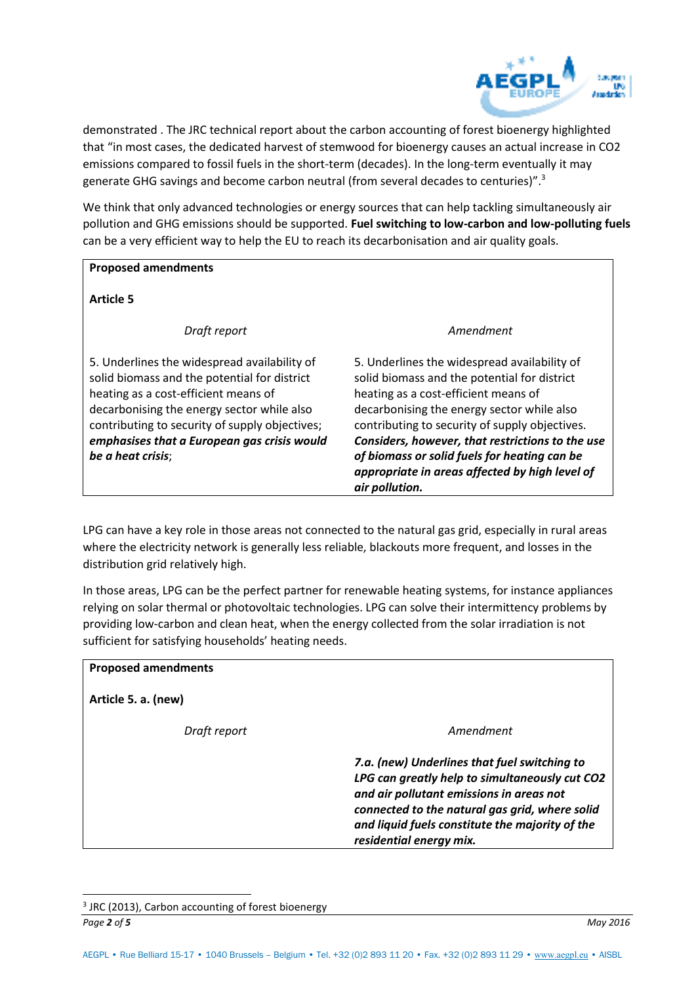

demonstrated . The JRC technical report about the carbon accounting of forest bioenergy highlighted that "in most cases, the dedicated harvest of stemwood for bioenergy causes an actual increase in CO2 emissions compared to fossil fuels in the short-term (decades). In the long-term eventually it may generate GHG savings and become carbon neutral (from several decades to centuries)".<sup>3</sup>

We think that only advanced technologies or energy sources that can help tackling simultaneously air pollution and GHG emissions should be supported. **Fuel switching to low-carbon and low-polluting fuels** can be a very efficient way to help the EU to reach its decarbonisation and air quality goals.

### **Proposed amendments**

**Article 5** 

*Draft report* 

5. Underlines the widespread availability of solid biomass and the potential for district heating as a cost-efficient means of decarbonising the energy sector while also contributing to security of supply objectives; *emphasises that a European gas crisis would be a heat crisis*;

#### *Amendment*

5. Underlines the widespread availability of solid biomass and the potential for district heating as a cost-efficient means of decarbonising the energy sector while also contributing to security of supply objectives. *Considers, however, that restrictions to the use of biomass or solid fuels for heating can be appropriate in areas affected by high level of air pollution.* 

LPG can have a key role in those areas not connected to the natural gas grid, especially in rural areas where the electricity network is generally less reliable, blackouts more frequent, and losses in the distribution grid relatively high.

In those areas, LPG can be the perfect partner for renewable heating systems, for instance appliances relying on solar thermal or photovoltaic technologies. LPG can solve their intermittency problems by providing low-carbon and clean heat, when the energy collected from the solar irradiation is not sufficient for satisfying households' heating needs.

| <b>Proposed amendments</b> |                                                                                                                                                                                                                                                                            |
|----------------------------|----------------------------------------------------------------------------------------------------------------------------------------------------------------------------------------------------------------------------------------------------------------------------|
| Article 5. a. (new)        |                                                                                                                                                                                                                                                                            |
| Draft report               | Amendment                                                                                                                                                                                                                                                                  |
|                            | 7.a. (new) Underlines that fuel switching to<br>LPG can greatly help to simultaneously cut CO2<br>and air pollutant emissions in areas not<br>connected to the natural gas grid, where solid<br>and liquid fuels constitute the majority of the<br>residential energy mix. |

*Page 2 of 5 May 2016* <sup>3</sup> JRC (2013), Carbon accounting of forest bioenergy

 $\overline{a}$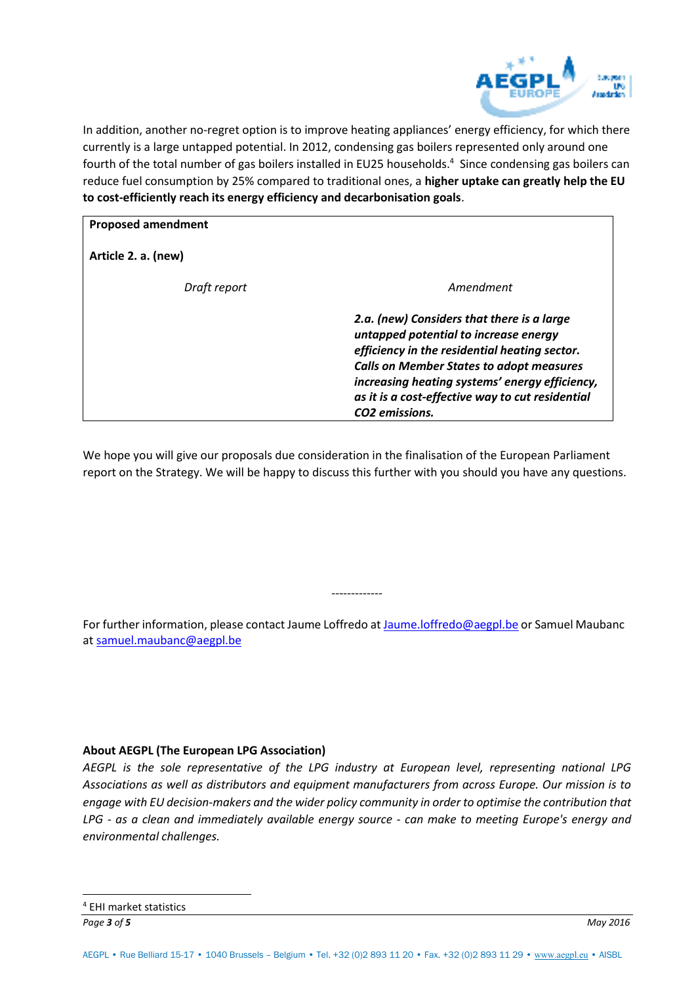

In addition, another no-regret option is to improve heating appliances' energy efficiency, for which there currently is a large untapped potential. In 2012, condensing gas boilers represented only around one fourth of the total number of gas boilers installed in EU25 households.<sup>4</sup> Since condensing gas boilers can reduce fuel consumption by 25% compared to traditional ones, a **higher uptake can greatly help the EU to cost-efficiently reach its energy efficiency and decarbonisation goals**.

| <b>Proposed amendment</b> |                                                                                                                                                                                                                                                                                                                             |
|---------------------------|-----------------------------------------------------------------------------------------------------------------------------------------------------------------------------------------------------------------------------------------------------------------------------------------------------------------------------|
| Article 2. a. (new)       |                                                                                                                                                                                                                                                                                                                             |
| Draft report              | Amendment                                                                                                                                                                                                                                                                                                                   |
|                           | 2.a. (new) Considers that there is a large<br>untapped potential to increase energy<br>efficiency in the residential heating sector.<br><b>Calls on Member States to adopt measures</b><br>increasing heating systems' energy efficiency,<br>as it is a cost-effective way to cut residential<br>CO <sub>2</sub> emissions. |

We hope you will give our proposals due consideration in the finalisation of the European Parliament report on the Strategy. We will be happy to discuss this further with you should you have any questions.

For further information, please contact Jaume Loffredo at [Jaume.loffredo@aegpl.be o](mailto:Jaume.loffredo@aegpl.be)r Samuel Maubanc at [samuel.maubanc@aegpl.be](mailto:samuel.maubanc@aegpl.be) 

-------------

### **About AEGPL (The European LPG Association)**

*AEGPL is the sole representative of the LPG industry at European level, representing national LPG Associations as well as distributors and equipment manufacturers from across Europe. Our mission is to engage with EU decision-makers and the wider policy community in order to optimise the contribution that LPG - as a clean and immediately available energy source - can make to meeting Europe's energy and environmental challenges.*

 $\overline{a}$ 

*Page 3 of 5 May 2016* 4 EHI market statistics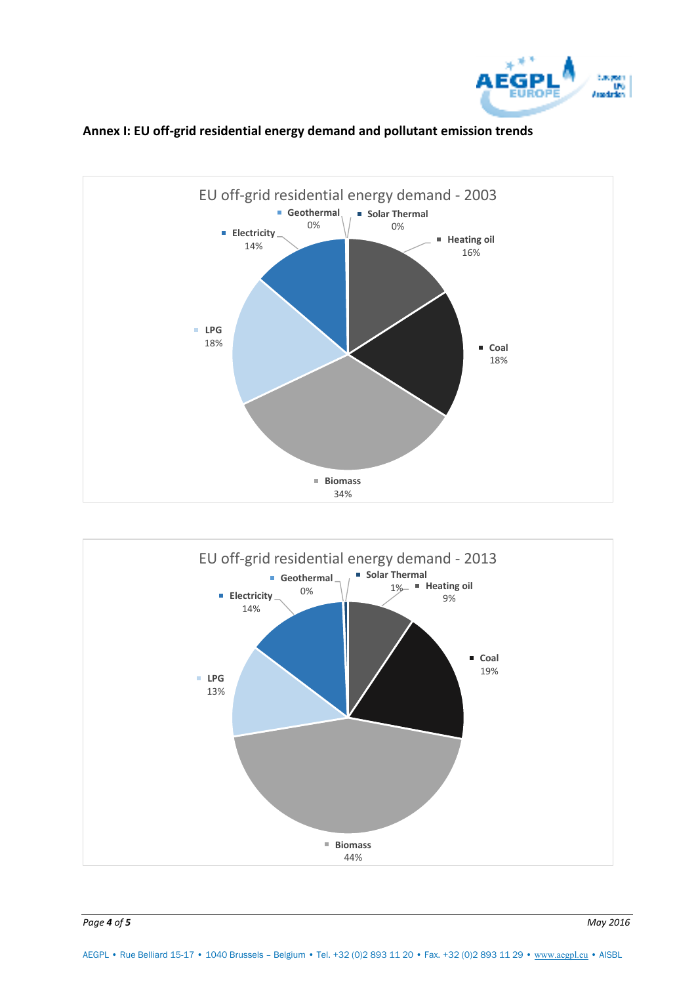